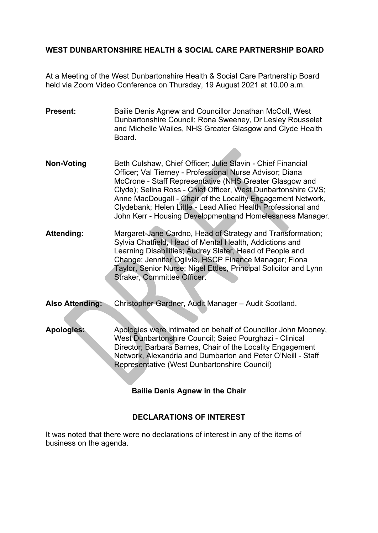## **WEST DUNBARTONSHIRE HEALTH & SOCIAL CARE PARTNERSHIP BOARD**

At a Meeting of the West Dunbartonshire Health & Social Care Partnership Board held via Zoom Video Conference on Thursday, 19 August 2021 at 10.00 a.m.

**Present:** Bailie Denis Agnew and Councillor Jonathan McColl, West Dunbartonshire Council; Rona Sweeney, Dr Lesley Rousselet and Michelle Wailes, NHS Greater Glasgow and Clyde Health **Board** 

- **Non-Voting** Beth Culshaw, Chief Officer; Julie Slavin Chief Financial Officer; Val Tierney - Professional Nurse Advisor; Diana McCrone - Staff Representative (NHS Greater Glasgow and Clyde); Selina Ross - Chief Officer, West Dunbartonshire CVS; Anne MacDougall - Chair of the Locality Engagement Network, Clydebank; Helen Little - Lead Allied Health Professional and John Kerr - Housing Development and Homelessness Manager.
- **Attending:** Margaret-Jane Cardno, Head of Strategy and Transformation; Sylvia Chatfield, Head of Mental Health, Addictions and Learning Disabilities; Audrey Slater, Head of People and Change; Jennifer Ogilvie, HSCP Finance Manager; Fiona Taylor, Senior Nurse; Nigel Ettles, Principal Solicitor and Lynn Straker, Committee Officer.
- **Also Attending:** Christopher Gardner, Audit Manager Audit Scotland.
- **Apologies:** Apologies were intimated on behalf of Councillor John Mooney, West Dunbartonshire Council; Saied Pourghazi - Clinical Director; Barbara Barnes, Chair of the Locality Engagement Network, Alexandria and Dumbarton and Peter O'Neill - Staff Representative (West Dunbartonshire Council)

## **Bailie Denis Agnew in the Chair**

#### **DECLARATIONS OF INTEREST**

It was noted that there were no declarations of interest in any of the items of business on the agenda.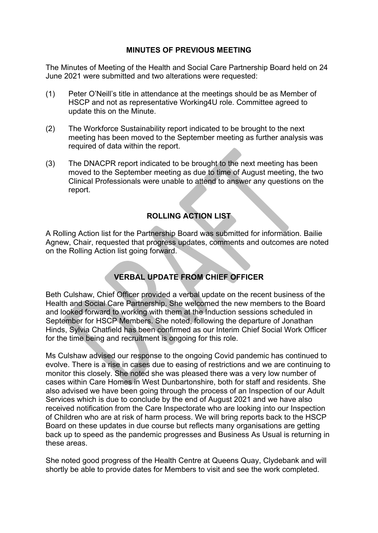### **MINUTES OF PREVIOUS MEETING**

The Minutes of Meeting of the Health and Social Care Partnership Board held on 24 June 2021 were submitted and two alterations were requested:

- (1) Peter O'Neill's title in attendance at the meetings should be as Member of HSCP and not as representative Working4U role. Committee agreed to update this on the Minute.
- (2) The Workforce Sustainability report indicated to be brought to the next meeting has been moved to the September meeting as further analysis was required of data within the report.
- (3) The DNACPR report indicated to be brought to the next meeting has been moved to the September meeting as due to time of August meeting, the two Clinical Professionals were unable to attend to answer any questions on the report.

## **ROLLING ACTION LIST**

A Rolling Action list for the Partnership Board was submitted for information. Bailie Agnew, Chair, requested that progress updates, comments and outcomes are noted on the Rolling Action list going forward.

# **VERBAL UPDATE FROM CHIEF OFFICER**

Beth Culshaw, Chief Officer provided a verbal update on the recent business of the Health and Social Care Partnership. She welcomed the new members to the Board and looked forward to working with them at the Induction sessions scheduled in September for HSCP Members. She noted, following the departure of Jonathan Hinds, Sylvia Chatfield has been confirmed as our Interim Chief Social Work Officer for the time being and recruitment is ongoing for this role.

Ms Culshaw advised our response to the ongoing Covid pandemic has continued to evolve. There is a rise in cases due to easing of restrictions and we are continuing to monitor this closely. She noted she was pleased there was a very low number of cases within Care Homes in West Dunbartonshire, both for staff and residents. She also advised we have been going through the process of an Inspection of our Adult Services which is due to conclude by the end of August 2021 and we have also received notification from the Care Inspectorate who are looking into our Inspection of Children who are at risk of harm process. We will bring reports back to the HSCP Board on these updates in due course but reflects many organisations are getting back up to speed as the pandemic progresses and Business As Usual is returning in these areas.

She noted good progress of the Health Centre at Queens Quay, Clydebank and will shortly be able to provide dates for Members to visit and see the work completed.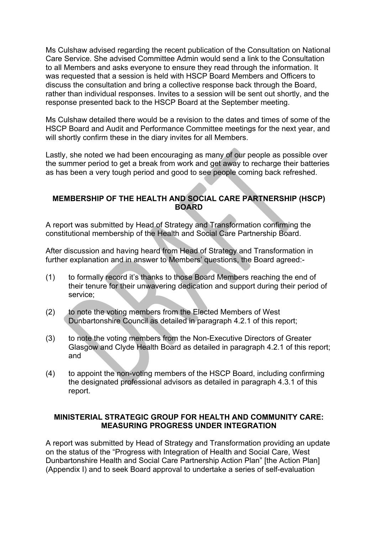Ms Culshaw advised regarding the recent publication of the Consultation on National Care Service. She advised Committee Admin would send a link to the Consultation to all Members and asks everyone to ensure they read through the information. It was requested that a session is held with HSCP Board Members and Officers to discuss the consultation and bring a collective response back through the Board, rather than individual responses. Invites to a session will be sent out shortly, and the response presented back to the HSCP Board at the September meeting.

Ms Culshaw detailed there would be a revision to the dates and times of some of the HSCP Board and Audit and Performance Committee meetings for the next year, and will shortly confirm these in the diary invites for all Members.

Lastly, she noted we had been encouraging as many of our people as possible over the summer period to get a break from work and get away to recharge their batteries as has been a very tough period and good to see people coming back refreshed.

### **MEMBERSHIP OF THE HEALTH AND SOCIAL CARE PARTNERSHIP (HSCP) BOARD**

A report was submitted by Head of Strategy and Transformation confirming the constitutional membership of the Health and Social Care Partnership Board.

After discussion and having heard from Head of Strategy and Transformation in further explanation and in answer to Members' questions, the Board agreed:-

- (1) to formally record it's thanks to those Board Members reaching the end of their tenure for their unwavering dedication and support during their period of service;
- (2) to note the voting members from the Elected Members of West Dunbartonshire Council as detailed in paragraph 4.2.1 of this report;
- (3) to note the voting members from the Non-Executive Directors of Greater Glasgow and Clyde Health Board as detailed in paragraph 4.2.1 of this report; and
- (4) to appoint the non-voting members of the HSCP Board, including confirming the designated professional advisors as detailed in paragraph 4.3.1 of this report.

### **MINISTERIAL STRATEGIC GROUP FOR HEALTH AND COMMUNITY CARE: MEASURING PROGRESS UNDER INTEGRATION**

A report was submitted by Head of Strategy and Transformation providing an update on the status of the "Progress with Integration of Health and Social Care, West Dunbartonshire Health and Social Care Partnership Action Plan" [the Action Plan] (Appendix I) and to seek Board approval to undertake a series of self-evaluation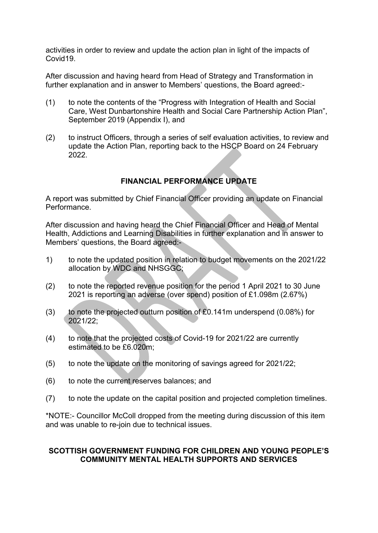activities in order to review and update the action plan in light of the impacts of Covid19.

After discussion and having heard from Head of Strategy and Transformation in further explanation and in answer to Members' questions, the Board agreed:-

- (1) to note the contents of the "Progress with Integration of Health and Social Care, West Dunbartonshire Health and Social Care Partnership Action Plan", September 2019 (Appendix I), and
- (2) to instruct Officers, through a series of self evaluation activities, to review and update the Action Plan, reporting back to the HSCP Board on 24 February 2022.

# **FINANCIAL PERFORMANCE UPDATE**

A report was submitted by Chief Financial Officer providing an update on Financial Performance.

After discussion and having heard the Chief Financial Officer and Head of Mental Health, Addictions and Learning Disabilities in further explanation and in answer to Members' questions, the Board agreed:-

- 1) to note the updated position in relation to budget movements on the 2021/22 allocation by WDC and NHSGGC;
- (2) to note the reported revenue position for the period 1 April 2021 to 30 June 2021 is reporting an adverse (over spend) position of £1.098m (2.67%)
- (3) to note the projected outturn position of £0.141m underspend (0.08%) for 2021/22;
- (4) to note that the projected costs of Covid-19 for 2021/22 are currently estimated to be £6.020m;
- (5) to note the update on the monitoring of savings agreed for 2021/22;
- (6) to note the current reserves balances; and
- (7) to note the update on the capital position and projected completion timelines.

\*NOTE:- Councillor McColl dropped from the meeting during discussion of this item and was unable to re-join due to technical issues.

#### **SCOTTISH GOVERNMENT FUNDING FOR CHILDREN AND YOUNG PEOPLE'S COMMUNITY MENTAL HEALTH SUPPORTS AND SERVICES**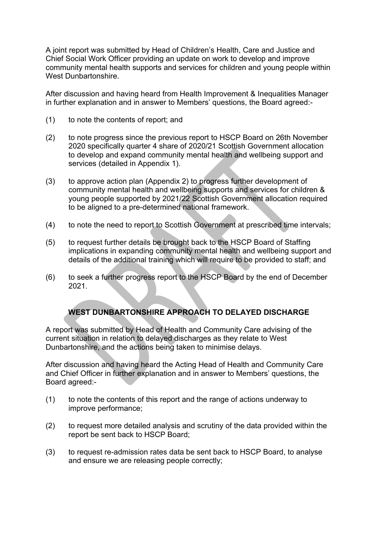A joint report was submitted by Head of Children's Health, Care and Justice and Chief Social Work Officer providing an update on work to develop and improve community mental health supports and services for children and young people within West Dunbartonshire.

After discussion and having heard from Health Improvement & Inequalities Manager in further explanation and in answer to Members' questions, the Board agreed:-

- (1) to note the contents of report; and
- (2) to note progress since the previous report to HSCP Board on 26th November 2020 specifically quarter 4 share of 2020/21 Scottish Government allocation to develop and expand community mental health and wellbeing support and services (detailed in Appendix 1).
- (3) to approve action plan (Appendix 2) to progress further development of community mental health and wellbeing supports and services for children & young people supported by 2021/22 Scottish Government allocation required to be aligned to a pre-determined national framework.
- (4) to note the need to report to Scottish Government at prescribed time intervals;
- (5) to request further details be brought back to the HSCP Board of Staffing implications in expanding community mental health and wellbeing support and details of the additional training which will require to be provided to staff; and
- (6) to seek a further progress report to the HSCP Board by the end of December 2021.

# **WEST DUNBARTONSHIRE APPROACH TO DELAYED DISCHARGE**

A report was submitted by Head of Health and Community Care advising of the current situation in relation to delayed discharges as they relate to West Dunbartonshire, and the actions being taken to minimise delays.

After discussion and having heard the Acting Head of Health and Community Care and Chief Officer in further explanation and in answer to Members' questions, the Board agreed:-

- (1) to note the contents of this report and the range of actions underway to improve performance;
- (2) to request more detailed analysis and scrutiny of the data provided within the report be sent back to HSCP Board;
- (3) to request re-admission rates data be sent back to HSCP Board, to analyse and ensure we are releasing people correctly;